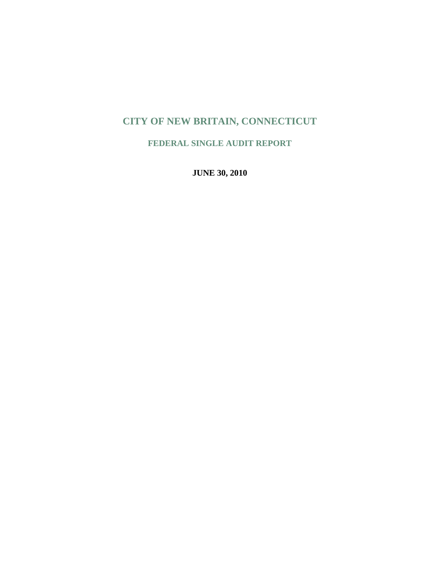# **CITY OF NEW BRITAIN, CONNECTICUT**

**FEDERAL SINGLE AUDIT REPORT** 

**JUNE 30, 2010**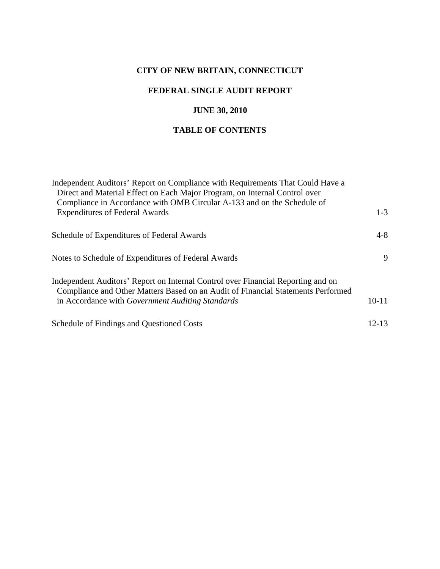# **CITY OF NEW BRITAIN, CONNECTICUT**

# **FEDERAL SINGLE AUDIT REPORT**

# **JUNE 30, 2010**

# **TABLE OF CONTENTS**

| Independent Auditors' Report on Compliance with Requirements That Could Have a<br>Direct and Material Effect on Each Major Program, on Internal Control over |           |
|--------------------------------------------------------------------------------------------------------------------------------------------------------------|-----------|
| Compliance in Accordance with OMB Circular A-133 and on the Schedule of<br><b>Expenditures of Federal Awards</b>                                             | $1 - 3$   |
| Schedule of Expenditures of Federal Awards                                                                                                                   | $4 - 8$   |
| Notes to Schedule of Expenditures of Federal Awards                                                                                                          | 9         |
| Independent Auditors' Report on Internal Control over Financial Reporting and on                                                                             |           |
| Compliance and Other Matters Based on an Audit of Financial Statements Performed<br>in Accordance with Government Auditing Standards                         | $10 - 11$ |
| Schedule of Findings and Questioned Costs                                                                                                                    | $12 - 13$ |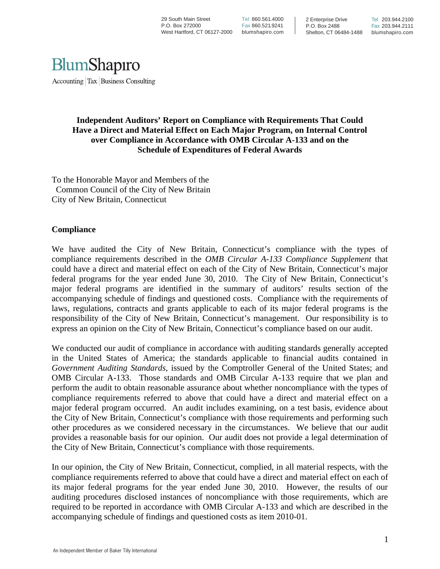

# **Independent Auditors' Report on Compliance with Requirements That Could Have a Direct and Material Effect on Each Major Program, on Internal Control over Compliance in Accordance with OMB Circular A-133 and on the Schedule of Expenditures of Federal Awards**

To the Honorable Mayor and Members of the Common Council of the City of New Britain City of New Britain, Connecticut

# **Compliance**

We have audited the City of New Britain, Connecticut's compliance with the types of compliance requirements described in the *OMB Circular A-133 Compliance Supplement* that could have a direct and material effect on each of the City of New Britain, Connecticut's major federal programs for the year ended June 30, 2010. The City of New Britain, Connecticut's major federal programs are identified in the summary of auditors' results section of the accompanying schedule of findings and questioned costs. Compliance with the requirements of laws, regulations, contracts and grants applicable to each of its major federal programs is the responsibility of the City of New Britain, Connecticut's management. Our responsibility is to express an opinion on the City of New Britain, Connecticut's compliance based on our audit.

We conducted our audit of compliance in accordance with auditing standards generally accepted in the United States of America; the standards applicable to financial audits contained in *Government Auditing Standards*, issued by the Comptroller General of the United States; and OMB Circular A-133. Those standards and OMB Circular A-133 require that we plan and perform the audit to obtain reasonable assurance about whether noncompliance with the types of compliance requirements referred to above that could have a direct and material effect on a major federal program occurred. An audit includes examining, on a test basis, evidence about the City of New Britain, Connecticut's compliance with those requirements and performing such other procedures as we considered necessary in the circumstances. We believe that our audit provides a reasonable basis for our opinion. Our audit does not provide a legal determination of the City of New Britain, Connecticut's compliance with those requirements.

In our opinion, the City of New Britain, Connecticut, complied, in all material respects, with the compliance requirements referred to above that could have a direct and material effect on each of its major federal programs for the year ended June 30, 2010. However, the results of our auditing procedures disclosed instances of noncompliance with those requirements, which are required to be reported in accordance with OMB Circular A-133 and which are described in the accompanying schedule of findings and questioned costs as item 2010-01.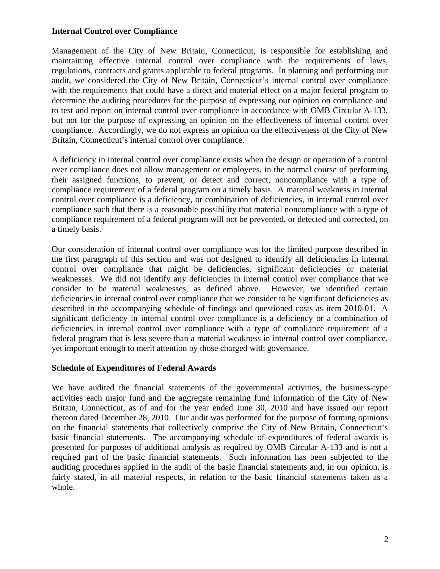#### **Internal Control over Compliance**

Management of the City of New Britain, Connecticut, is responsible for establishing and maintaining effective internal control over compliance with the requirements of laws, regulations, contracts and grants applicable to federal programs. In planning and performing our audit, we considered the City of New Britain, Connecticut's internal control over compliance with the requirements that could have a direct and material effect on a major federal program to determine the auditing procedures for the purpose of expressing our opinion on compliance and to test and report on internal control over compliance in accordance with OMB Circular A-133, but not for the purpose of expressing an opinion on the effectiveness of internal control over compliance. Accordingly, we do not express an opinion on the effectiveness of the City of New Britain, Connecticut's internal control over compliance.

A deficiency in internal control over compliance exists when the design or operation of a control over compliance does not allow management or employees, in the normal course of performing their assigned functions, to prevent, or detect and correct, noncompliance with a type of compliance requirement of a federal program on a timely basis. A material weakness in internal control over compliance is a deficiency, or combination of deficiencies, in internal control over compliance such that there is a reasonable possibility that material noncompliance with a type of compliance requirement of a federal program will not be prevented, or detected and corrected, on a timely basis.

Our consideration of internal control over compliance was for the limited purpose described in the first paragraph of this section and was not designed to identify all deficiencies in internal control over compliance that might be deficiencies, significant deficiencies or material weaknesses. We did not identify any deficiencies in internal control over compliance that we consider to be material weaknesses, as defined above. However, we identified certain deficiencies in internal control over compliance that we consider to be significant deficiencies as described in the accompanying schedule of findings and questioned costs as item 2010-01. A significant deficiency in internal control over compliance is a deficiency or a combination of deficiencies in internal control over compliance with a type of compliance requirement of a federal program that is less severe than a material weakness in internal control over compliance, yet important enough to merit attention by those charged with governance.

#### **Schedule of Expenditures of Federal Awards**

We have audited the financial statements of the governmental activities, the business-type activities each major fund and the aggregate remaining fund information of the City of New Britain, Connecticut, as of and for the year ended June 30, 2010 and have issued our report thereon dated December 28, 2010. Our audit was performed for the purpose of forming opinions on the financial statements that collectively comprise the City of New Britain, Connecticut's basic financial statements. The accompanying schedule of expenditures of federal awards is presented for purposes of additional analysis as required by OMB Circular A-133 and is not a required part of the basic financial statements. Such information has been subjected to the auditing procedures applied in the audit of the basic financial statements and, in our opinion, is fairly stated, in all material respects, in relation to the basic financial statements taken as a whole.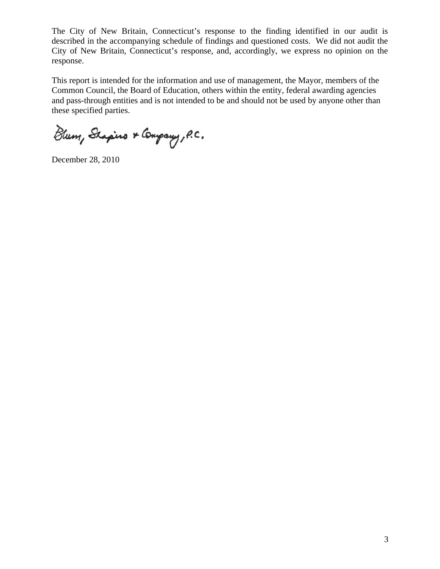The City of New Britain, Connecticut's response to the finding identified in our audit is described in the accompanying schedule of findings and questioned costs. We did not audit the City of New Britain, Connecticut's response, and, accordingly, we express no opinion on the response.

This report is intended for the information and use of management, the Mayor, members of the Common Council, the Board of Education, others within the entity, federal awarding agencies and pass-through entities and is not intended to be and should not be used by anyone other than these specified parties.

Blum, Shapino & Company, P.C.

December 28, 2010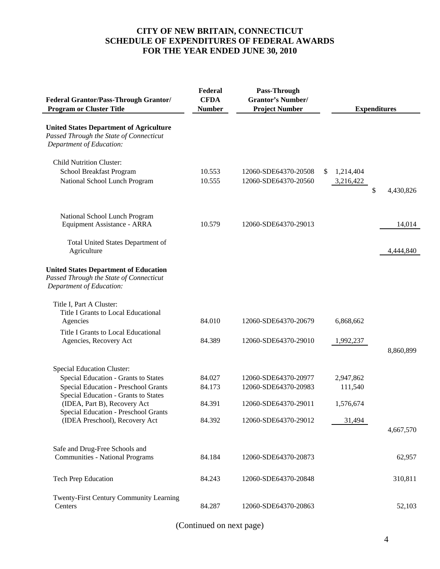| <b>Federal Grantor/Pass-Through Grantor/</b><br><b>Program or Cluster Title</b>                                       | Federal<br><b>CFDA</b><br><b>Number</b> | Pass-Through<br><b>Grantor's Number/</b><br><b>Project Number</b> |                                        | <b>Expenditures</b> |
|-----------------------------------------------------------------------------------------------------------------------|-----------------------------------------|-------------------------------------------------------------------|----------------------------------------|---------------------|
| <b>United States Department of Agriculture</b><br>Passed Through the State of Connecticut<br>Department of Education: |                                         |                                                                   |                                        |                     |
| <b>Child Nutrition Cluster:</b><br>School Breakfast Program<br>National School Lunch Program                          | 10.553<br>10.555                        | 12060-SDE64370-20508<br>12060-SDE64370-20560                      | $\mathbb{S}$<br>1,214,404<br>3,216,422 | \$<br>4,430,826     |
| National School Lunch Program<br>Equipment Assistance - ARRA                                                          | 10.579                                  | 12060-SDE64370-29013                                              |                                        | 14,014              |
| Total United States Department of<br>Agriculture                                                                      |                                         |                                                                   |                                        | 4,444,840           |
| <b>United States Department of Education</b><br>Passed Through the State of Connecticut<br>Department of Education:   |                                         |                                                                   |                                        |                     |
| Title I, Part A Cluster:<br>Title I Grants to Local Educational<br>Agencies                                           | 84.010                                  | 12060-SDE64370-20679                                              | 6,868,662                              |                     |
| Title I Grants to Local Educational<br>Agencies, Recovery Act                                                         | 84.389                                  | 12060-SDE64370-29010                                              | 1,992,237                              | 8,860,899           |
| <b>Special Education Cluster:</b>                                                                                     |                                         |                                                                   |                                        |                     |
| Special Education - Grants to States<br>Special Education - Preschool Grants                                          | 84.027<br>84.173                        | 12060-SDE64370-20977<br>12060-SDE64370-20983                      | 2,947,862<br>111,540                   |                     |
| Special Education - Grants to States<br>(IDEA, Part B), Recovery Act<br>Special Education - Preschool Grants          | 84.391                                  | 12060-SDE64370-29011                                              | 1,576,674                              |                     |
| (IDEA Preschool), Recovery Act                                                                                        | 84.392                                  | 12060-SDE64370-29012                                              | 31,494                                 | 4,667,570           |
| Safe and Drug-Free Schools and<br><b>Communities - National Programs</b>                                              | 84.184                                  | 12060-SDE64370-20873                                              |                                        | 62,957              |
| <b>Tech Prep Education</b>                                                                                            | 84.243                                  | 12060-SDE64370-20848                                              |                                        | 310,811             |
| <b>Twenty-First Century Community Learning</b><br>Centers                                                             | 84.287                                  | 12060-SDE64370-20863                                              |                                        | 52,103              |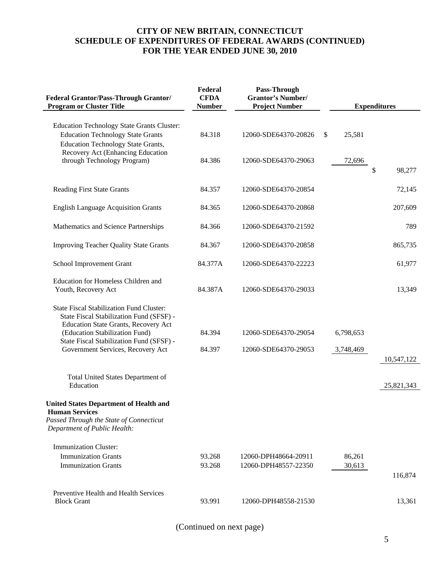| <b>Federal Grantor/Pass-Through Grantor/</b><br><b>Program or Cluster Title</b>                                                                                       | Federal<br><b>CFDA</b><br><b>Number</b> | Pass-Through<br><b>Grantor's Number/</b><br><b>Project Number</b> |                  | <b>Expenditures</b> |
|-----------------------------------------------------------------------------------------------------------------------------------------------------------------------|-----------------------------------------|-------------------------------------------------------------------|------------------|---------------------|
| <b>Education Technology State Grants Cluster:</b><br><b>Education Technology State Grants</b><br><b>Education Technology State Grants,</b>                            | 84.318                                  | 12060-SDE64370-20826                                              | \$<br>25,581     |                     |
| Recovery Act (Enhancing Education<br>through Technology Program)                                                                                                      | 84.386                                  | 12060-SDE64370-29063                                              | 72,696           | \$<br>98,277        |
| <b>Reading First State Grants</b>                                                                                                                                     | 84.357                                  | 12060-SDE64370-20854                                              |                  | 72,145              |
| <b>English Language Acquisition Grants</b>                                                                                                                            | 84.365                                  | 12060-SDE64370-20868                                              |                  | 207,609             |
| Mathematics and Science Partnerships                                                                                                                                  | 84.366                                  | 12060-SDE64370-21592                                              |                  | 789                 |
| <b>Improving Teacher Quality State Grants</b>                                                                                                                         | 84.367                                  | 12060-SDE64370-20858                                              |                  | 865,735             |
| School Improvement Grant                                                                                                                                              | 84.377A                                 | 12060-SDE64370-22223                                              |                  | 61,977              |
| Education for Homeless Children and<br>Youth, Recovery Act                                                                                                            | 84.387A                                 | 12060-SDE64370-29033                                              |                  | 13,349              |
| <b>State Fiscal Stabilization Fund Cluster:</b><br>State Fiscal Stabilization Fund (SFSF) -<br>Education State Grants, Recovery Act<br>(Education Stabilization Fund) | 84.394                                  | 12060-SDE64370-29054                                              | 6,798,653        |                     |
| State Fiscal Stabilization Fund (SFSF) -<br>Government Services, Recovery Act                                                                                         | 84.397                                  | 12060-SDE64370-29053                                              | 3,748,469        | 10,547,122          |
| Total United States Department of<br>Education                                                                                                                        |                                         |                                                                   |                  | 25,821,343          |
| <b>United States Department of Health and</b><br><b>Human Services</b><br>Passed Through the State of Connecticut<br>Department of Public Health:                     |                                         |                                                                   |                  |                     |
| <b>Immunization Cluster:</b><br><b>Immunization Grants</b><br><b>Immunization Grants</b>                                                                              | 93.268<br>93.268                        | 12060-DPH48664-20911<br>12060-DPH48557-22350                      | 86,261<br>30,613 | 116,874             |
| Preventive Health and Health Services<br><b>Block Grant</b>                                                                                                           | 93.991                                  | 12060-DPH48558-21530                                              |                  | 13,361              |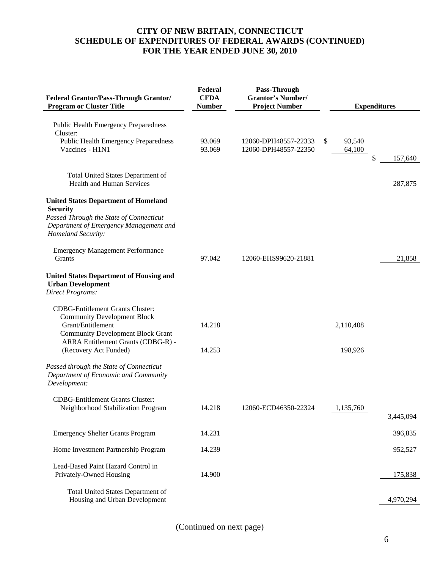| <b>Federal Grantor/Pass-Through Grantor/</b><br><b>Program or Cluster Title</b>                                                                                                      | Federal<br><b>CFDA</b><br><b>Number</b> | Pass-Through<br><b>Grantor's Number/</b><br><b>Project Number</b> |                              | <b>Expenditures</b> |
|--------------------------------------------------------------------------------------------------------------------------------------------------------------------------------------|-----------------------------------------|-------------------------------------------------------------------|------------------------------|---------------------|
| <b>Public Health Emergency Preparedness</b>                                                                                                                                          |                                         |                                                                   |                              |                     |
| Cluster:<br><b>Public Health Emergency Preparedness</b><br>Vaccines - H1N1                                                                                                           | 93.069<br>93.069                        | 12060-DPH48557-22333<br>12060-DPH48557-22350                      | \$<br>93,540<br>64,100<br>\$ | 157,640             |
| Total United States Department of<br>Health and Human Services                                                                                                                       |                                         |                                                                   |                              | 287,875             |
| <b>United States Department of Homeland</b><br><b>Security</b><br>Passed Through the State of Connecticut<br>Department of Emergency Management and<br>Homeland Security:            |                                         |                                                                   |                              |                     |
| <b>Emergency Management Performance</b><br><b>Grants</b>                                                                                                                             | 97.042                                  | 12060-EHS99620-21881                                              |                              | 21,858              |
| <b>United States Department of Housing and</b><br><b>Urban Development</b><br><b>Direct Programs:</b>                                                                                |                                         |                                                                   |                              |                     |
| <b>CDBG-Entitlement Grants Cluster:</b><br><b>Community Development Block</b><br>Grant/Entitlement<br><b>Community Development Block Grant</b><br>ARRA Entitlement Grants (CDBG-R) - | 14.218                                  |                                                                   | 2,110,408                    |                     |
| (Recovery Act Funded)<br>Passed through the State of Connecticut<br>Department of Economic and Community<br>Development:                                                             | 14.253                                  |                                                                   | 198,926                      |                     |
| <b>CDBG-Entitlement Grants Cluster:</b><br>Neighborhood Stabilization Program                                                                                                        | 14.218                                  | 12060-ECD46350-22324                                              | 1,135,760                    | 3,445,094           |
| <b>Emergency Shelter Grants Program</b>                                                                                                                                              | 14.231                                  |                                                                   |                              | 396,835             |
| Home Investment Partnership Program                                                                                                                                                  | 14.239                                  |                                                                   |                              | 952,527             |
| Lead-Based Paint Hazard Control in<br>Privately-Owned Housing                                                                                                                        | 14.900                                  |                                                                   |                              | 175,838             |
| Total United States Department of<br>Housing and Urban Development                                                                                                                   |                                         |                                                                   |                              | 4,970,294           |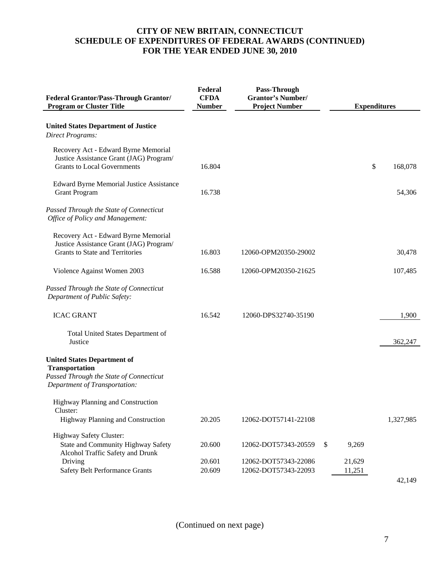| <b>Federal Grantor/Pass-Through Grantor/</b><br><b>Program or Cluster Title</b>                                                         | Federal<br><b>CFDA</b><br><b>Number</b> | Pass-Through<br><b>Grantor's Number/</b><br><b>Project Number</b> |                  | <b>Expenditures</b> |
|-----------------------------------------------------------------------------------------------------------------------------------------|-----------------------------------------|-------------------------------------------------------------------|------------------|---------------------|
|                                                                                                                                         |                                         |                                                                   |                  |                     |
| <b>United States Department of Justice</b><br>Direct Programs:                                                                          |                                         |                                                                   |                  |                     |
| Recovery Act - Edward Byrne Memorial<br>Justice Assistance Grant (JAG) Program/<br><b>Grants to Local Governments</b>                   | 16.804                                  |                                                                   | \$               | 168,078             |
| <b>Edward Byrne Memorial Justice Assistance</b><br><b>Grant Program</b>                                                                 | 16.738                                  |                                                                   |                  | 54,306              |
| Passed Through the State of Connecticut<br>Office of Policy and Management:                                                             |                                         |                                                                   |                  |                     |
| Recovery Act - Edward Byrne Memorial<br>Justice Assistance Grant (JAG) Program/<br>Grants to State and Territories                      | 16.803                                  | 12060-OPM20350-29002                                              |                  | 30,478              |
| Violence Against Women 2003                                                                                                             | 16.588                                  | 12060-OPM20350-21625                                              |                  | 107,485             |
| Passed Through the State of Connecticut<br>Department of Public Safety:                                                                 |                                         |                                                                   |                  |                     |
| <b>ICAC GRANT</b>                                                                                                                       | 16.542                                  | 12060-DPS32740-35190                                              |                  | 1,900               |
| Total United States Department of<br>Justice                                                                                            |                                         |                                                                   |                  | 362,247             |
| <b>United States Department of</b><br><b>Transportation</b><br>Passed Through the State of Connecticut<br>Department of Transportation: |                                         |                                                                   |                  |                     |
| <b>Highway Planning and Construction</b><br>Cluster:                                                                                    |                                         |                                                                   |                  |                     |
| Highway Planning and Construction                                                                                                       | 20.205                                  | 12062-DOT57141-22108                                              |                  | 1,327,985           |
| Highway Safety Cluster:                                                                                                                 |                                         |                                                                   |                  |                     |
| State and Community Highway Safety<br>Alcohol Traffic Safety and Drunk                                                                  | 20.600                                  | 12062-DOT57343-20559                                              | \$<br>9,269      |                     |
| Driving<br>Safety Belt Performance Grants                                                                                               | 20.601<br>20.609                        | 12062-DOT57343-22086<br>12062-DOT57343-22093                      | 21,629<br>11,251 |                     |

42,149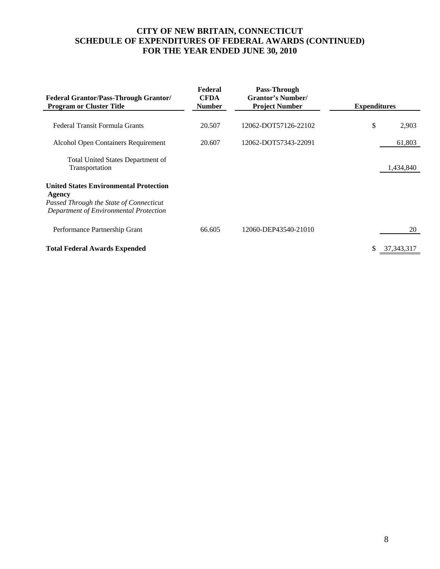| <b>Federal Grantor/Pass-Through Grantor/</b><br><b>Program or Cluster Title</b>                                                              | Federal<br><b>CFDA</b><br><b>Number</b> | Pass-Through<br><b>Grantor's Number/</b><br><b>Project Number</b> | <b>Expenditures</b> |            |
|----------------------------------------------------------------------------------------------------------------------------------------------|-----------------------------------------|-------------------------------------------------------------------|---------------------|------------|
| Federal Transit Formula Grants                                                                                                               | 20.507                                  | 12062-DOT57126-22102                                              | \$                  | 2,903      |
| Alcohol Open Containers Requirement                                                                                                          | 20.607                                  | 12062-DOT57343-22091                                              |                     | 61,803     |
| <b>Total United States Department of</b><br>Transportation                                                                                   |                                         |                                                                   |                     | 1,434,840  |
| <b>United States Environmental Protection</b><br>Agency<br>Passed Through the State of Connecticut<br>Department of Environmental Protection |                                         |                                                                   |                     |            |
| Performance Partnership Grant                                                                                                                | 66.605                                  | 12060-DEP43540-21010                                              |                     | 20         |
| <b>Total Federal Awards Expended</b>                                                                                                         |                                         |                                                                   |                     | 37,343,317 |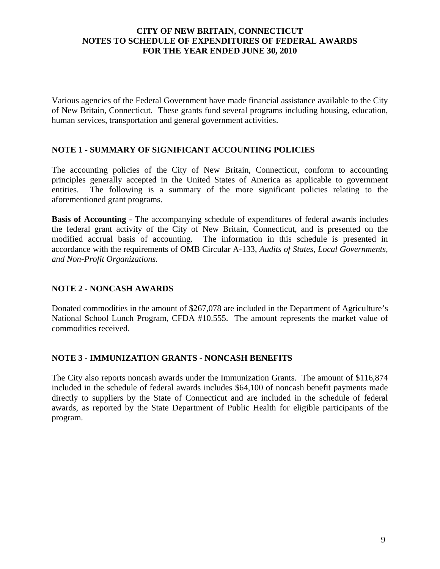Various agencies of the Federal Government have made financial assistance available to the City of New Britain, Connecticut. These grants fund several programs including housing, education, human services, transportation and general government activities.

# **NOTE 1 - SUMMARY OF SIGNIFICANT ACCOUNTING POLICIES**

The accounting policies of the City of New Britain, Connecticut, conform to accounting principles generally accepted in the United States of America as applicable to government entities. The following is a summary of the more significant policies relating to the aforementioned grant programs.

**Basis of Accounting** - The accompanying schedule of expenditures of federal awards includes the federal grant activity of the City of New Britain, Connecticut, and is presented on the modified accrual basis of accounting. The information in this schedule is presented in accordance with the requirements of OMB Circular A-133, *Audits of States, Local Governments, and Non-Profit Organizations.*

#### **NOTE 2 - NONCASH AWARDS**

Donated commodities in the amount of \$267,078 are included in the Department of Agriculture's National School Lunch Program, CFDA #10.555. The amount represents the market value of commodities received.

#### **NOTE 3 - IMMUNIZATION GRANTS - NONCASH BENEFITS**

The City also reports noncash awards under the Immunization Grants. The amount of \$116,874 included in the schedule of federal awards includes \$64,100 of noncash benefit payments made directly to suppliers by the State of Connecticut and are included in the schedule of federal awards, as reported by the State Department of Public Health for eligible participants of the program.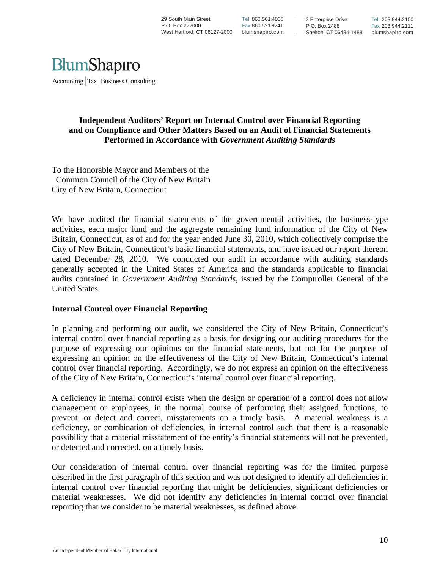

#### **Independent Auditors' Report on Internal Control over Financial Reporting and on Compliance and Other Matters Based on an Audit of Financial Statements Performed in Accordance with** *Government Auditing Standards*

To the Honorable Mayor and Members of the Common Council of the City of New Britain City of New Britain, Connecticut

We have audited the financial statements of the governmental activities, the business-type activities, each major fund and the aggregate remaining fund information of the City of New Britain, Connecticut, as of and for the year ended June 30, 2010, which collectively comprise the City of New Britain, Connecticut's basic financial statements, and have issued our report thereon dated December 28, 2010. We conducted our audit in accordance with auditing standards generally accepted in the United States of America and the standards applicable to financial audits contained in *Government Auditing Standards*, issued by the Comptroller General of the United States.

# **Internal Control over Financial Reporting**

In planning and performing our audit, we considered the City of New Britain, Connecticut's internal control over financial reporting as a basis for designing our auditing procedures for the purpose of expressing our opinions on the financial statements, but not for the purpose of expressing an opinion on the effectiveness of the City of New Britain, Connecticut's internal control over financial reporting. Accordingly, we do not express an opinion on the effectiveness of the City of New Britain, Connecticut's internal control over financial reporting.

A deficiency in internal control exists when the design or operation of a control does not allow management or employees, in the normal course of performing their assigned functions, to prevent, or detect and correct, misstatements on a timely basis. A material weakness is a deficiency, or combination of deficiencies, in internal control such that there is a reasonable possibility that a material misstatement of the entity's financial statements will not be prevented, or detected and corrected, on a timely basis.

Our consideration of internal control over financial reporting was for the limited purpose described in the first paragraph of this section and was not designed to identify all deficiencies in internal control over financial reporting that might be deficiencies, significant deficiencies or material weaknesses. We did not identify any deficiencies in internal control over financial reporting that we consider to be material weaknesses, as defined above.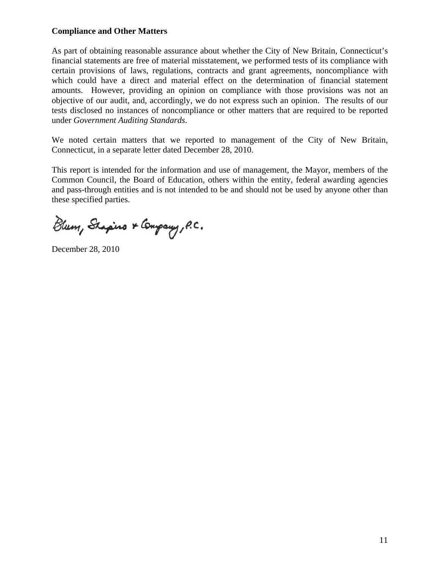# **Compliance and Other Matters**

As part of obtaining reasonable assurance about whether the City of New Britain, Connecticut's financial statements are free of material misstatement, we performed tests of its compliance with certain provisions of laws, regulations, contracts and grant agreements, noncompliance with which could have a direct and material effect on the determination of financial statement amounts. However, providing an opinion on compliance with those provisions was not an objective of our audit, and, accordingly, we do not express such an opinion. The results of our tests disclosed no instances of noncompliance or other matters that are required to be reported under *Government Auditing Standards*.

We noted certain matters that we reported to management of the City of New Britain, Connecticut, in a separate letter dated December 28, 2010.

This report is intended for the information and use of management, the Mayor, members of the Common Council, the Board of Education, others within the entity, federal awarding agencies and pass-through entities and is not intended to be and should not be used by anyone other than these specified parties.

Blum, Shapino & Company, P.C.

December 28, 2010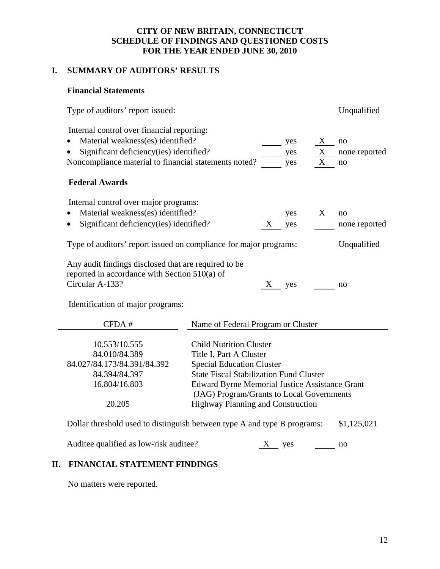#### **CITY OF NEW BRITAIN, CONNECTICUT SCHEDULE OF FINDINGS AND QUESTIONED COSTS FOR THE YEAR ENDED JUNE 30, 2010**

#### **I. SUMMARY OF AUDITORS' RESULTS**

#### **Financial Statements**

| Type of auditors' report issued:                                  |                                                                                       |          | Unqualified                                    |
|-------------------------------------------------------------------|---------------------------------------------------------------------------------------|----------|------------------------------------------------|
| Internal control over financial reporting:                        |                                                                                       |          |                                                |
| Material weakness(es) identified?                                 |                                                                                       | yes      | X<br>no                                        |
| Significant deficiency(ies) identified?                           |                                                                                       | yes      | $\mathbf X$<br>none reported                   |
| Noncompliance material to financial statements noted?             |                                                                                       | yes      | X<br>no                                        |
| <b>Federal Awards</b>                                             |                                                                                       |          |                                                |
| Internal control over major programs:                             |                                                                                       |          |                                                |
| Material weakness(es) identified?                                 |                                                                                       | yes      | X<br>no                                        |
| Significant deficiency(ies) identified?                           |                                                                                       | X<br>yes | none reported                                  |
| Type of auditors' report issued on compliance for major programs: |                                                                                       |          | Unqualified                                    |
| Any audit findings disclosed that are required to be              |                                                                                       |          |                                                |
| reported in accordance with Section 510(a) of<br>Circular A-133?  |                                                                                       | X<br>yes | no                                             |
| Identification of major programs:                                 |                                                                                       |          |                                                |
| CFDA#                                                             | Name of Federal Program or Cluster                                                    |          |                                                |
|                                                                   | <b>Child Nutrition Cluster</b>                                                        |          |                                                |
| 10.553/10.555<br>84.010/84.389                                    |                                                                                       |          |                                                |
|                                                                   | Title I, Part A Cluster<br><b>Special Education Cluster</b>                           |          |                                                |
| 84.394/84.397                                                     | <b>State Fiscal Stabilization Fund Cluster</b>                                        |          |                                                |
| 16.804/16.803                                                     |                                                                                       |          | Edward Byrne Memorial Justice Assistance Grant |
| 84.027/84.173/84.391/84.392<br>20.205                             | (JAG) Program/Grants to Local Governments<br><b>Highway Planning and Construction</b> |          |                                                |

Dollar threshold used to distinguish between type A and type B programs: \$1,125,021

Auditee qualified as low-risk auditee?  $\frac{X}{x}$  yes no

# **II. FINANCIAL STATEMENT FINDINGS**

No matters were reported.